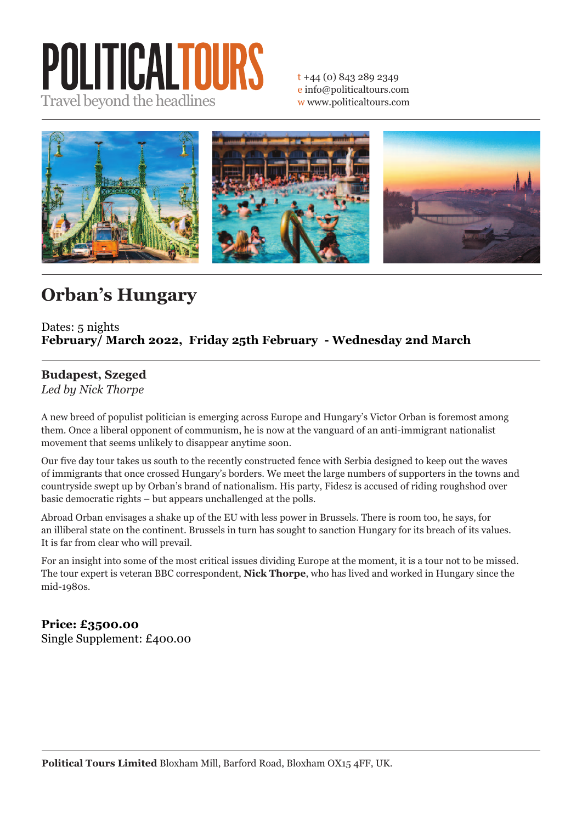# POLITICALTOURS Travel beyond the headlines

t +44 (0) 843 289 2349 e info@politicaltours.com w www.politicaltours.com



## **Orban's Hungary**

#### Dates: 5 nights **February/ March 2022, Friday 25th February - Wednesday 2nd March**

### **Budapest, Szeged**

*Led by Nick Thorpe*

A new breed of populist politician is emerging across Europe and Hungary's Victor Orban is foremost among them. Once a liberal opponent of communism, he is now at the vanguard of an anti-immigrant nationalist movement that seems unlikely to disappear anytime soon.

Our five day tour takes us south to the recently constructed fence with Serbia designed to keep out the waves of immigrants that once crossed Hungary's borders. We meet the large numbers of supporters in the towns and countryside swept up by Orban's brand of nationalism. His party, Fidesz is accused of riding roughshod over basic democratic rights – but appears unchallenged at the polls.

Abroad Orban envisages a shake up of the EU with less power in Brussels. There is room too, he says, for an illiberal state on the continent. Brussels in turn has sought to sanction Hungary for its breach of its values. It is far from clear who will prevail.

For an insight into some of the most critical issues dividing Europe at the moment, it is a tour not to be missed. The tour expert is veteran BBC correspondent, **Nick Thorpe**, who has lived and worked in Hungary since the mid-1980s.

### **Price: £3500.00**

Single Supplement: £400.00